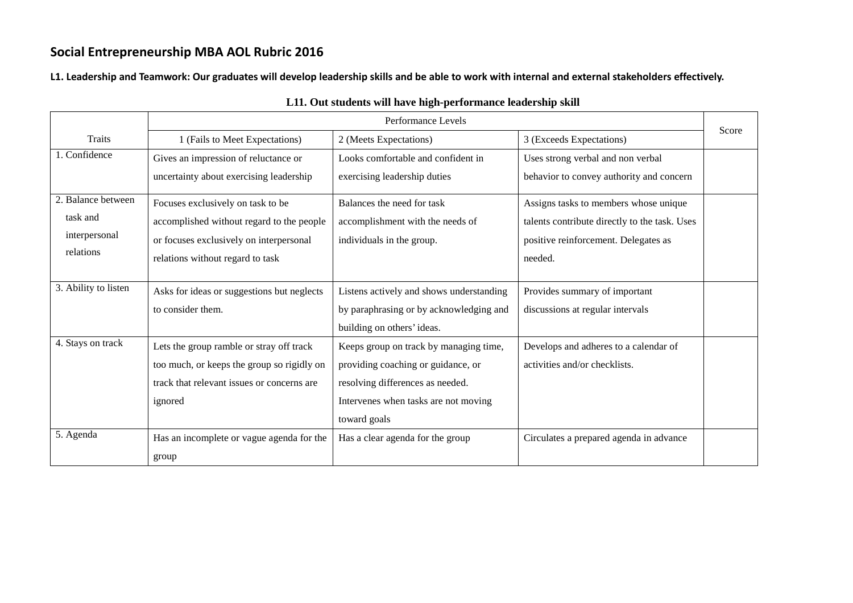**L1. Leadership and Teamwork: Our graduates will develop leadership skills and be able to work with internal and external stakeholders effectively.** 

|                      | Performance Levels                         |                                          |                                               | Score |
|----------------------|--------------------------------------------|------------------------------------------|-----------------------------------------------|-------|
| <b>Traits</b>        | 1 (Fails to Meet Expectations)             | 2 (Meets Expectations)                   | 3 (Exceeds Expectations)                      |       |
| 1. Confidence        | Gives an impression of reluctance or       | Looks comfortable and confident in       | Uses strong verbal and non verbal             |       |
|                      | uncertainty about exercising leadership    | exercising leadership duties             | behavior to convey authority and concern      |       |
| 2. Balance between   | Focuses exclusively on task to be          | Balances the need for task               | Assigns tasks to members whose unique         |       |
| task and             | accomplished without regard to the people  | accomplishment with the needs of         | talents contribute directly to the task. Uses |       |
| interpersonal        | or focuses exclusively on interpersonal    | individuals in the group.                | positive reinforcement. Delegates as          |       |
| relations            | relations without regard to task           |                                          | needed.                                       |       |
|                      |                                            |                                          |                                               |       |
| 3. Ability to listen | Asks for ideas or suggestions but neglects | Listens actively and shows understanding | Provides summary of important                 |       |
|                      | to consider them.                          | by paraphrasing or by acknowledging and  | discussions at regular intervals              |       |
|                      |                                            | building on others' ideas.               |                                               |       |
| 4. Stays on track    | Lets the group ramble or stray off track   | Keeps group on track by managing time,   | Develops and adheres to a calendar of         |       |
|                      | too much, or keeps the group so rigidly on | providing coaching or guidance, or       | activities and/or checklists.                 |       |
|                      | track that relevant issues or concerns are | resolving differences as needed.         |                                               |       |
|                      | ignored                                    | Intervenes when tasks are not moving     |                                               |       |
|                      |                                            | toward goals                             |                                               |       |
| 5. Agenda            | Has an incomplete or vague agenda for the  | Has a clear agenda for the group         | Circulates a prepared agenda in advance       |       |
|                      | group                                      |                                          |                                               |       |

#### **L11. Out students will have high-performance leadership skill**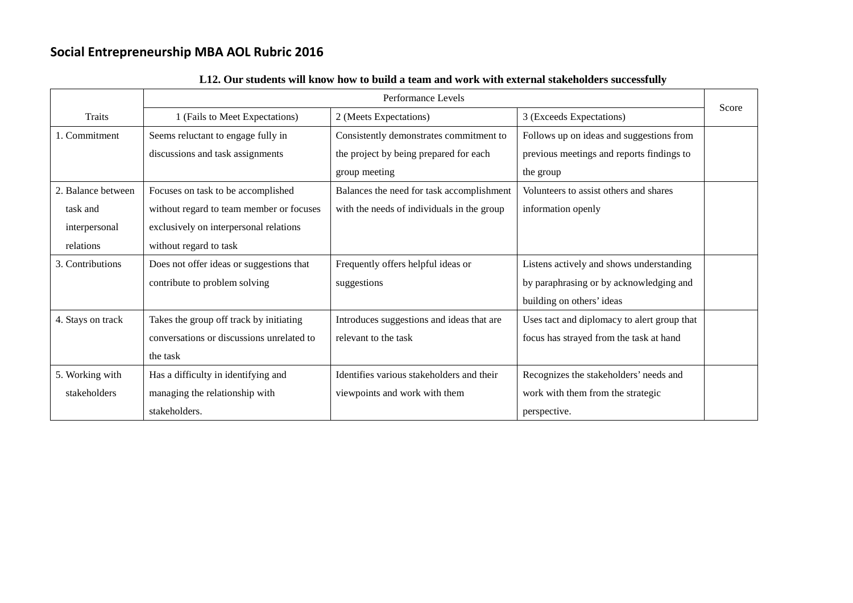|                    | Performance Levels                        |                                            |                                             |       |
|--------------------|-------------------------------------------|--------------------------------------------|---------------------------------------------|-------|
| <b>Traits</b>      | 1 (Fails to Meet Expectations)            | 2 (Meets Expectations)                     | 3 (Exceeds Expectations)                    | Score |
| 1. Commitment      | Seems reluctant to engage fully in        | Consistently demonstrates commitment to    | Follows up on ideas and suggestions from    |       |
|                    | discussions and task assignments          | the project by being prepared for each     | previous meetings and reports findings to   |       |
|                    |                                           | group meeting                              | the group                                   |       |
| 2. Balance between | Focuses on task to be accomplished        | Balances the need for task accomplishment  | Volunteers to assist others and shares      |       |
| task and           | without regard to team member or focuses  | with the needs of individuals in the group | information openly                          |       |
| interpersonal      | exclusively on interpersonal relations    |                                            |                                             |       |
| relations          | without regard to task                    |                                            |                                             |       |
| 3. Contributions   | Does not offer ideas or suggestions that  | Frequently offers helpful ideas or         | Listens actively and shows understanding    |       |
|                    | contribute to problem solving             | suggestions                                | by paraphrasing or by acknowledging and     |       |
|                    |                                           |                                            | building on others' ideas                   |       |
| 4. Stays on track  | Takes the group off track by initiating   | Introduces suggestions and ideas that are  | Uses tact and diplomacy to alert group that |       |
|                    | conversations or discussions unrelated to | relevant to the task                       | focus has strayed from the task at hand     |       |
|                    | the task                                  |                                            |                                             |       |
| 5. Working with    | Has a difficulty in identifying and       | Identifies various stakeholders and their  | Recognizes the stakeholders' needs and      |       |
| stakeholders       | managing the relationship with            | viewpoints and work with them              | work with them from the strategic           |       |
|                    | stakeholders.                             |                                            | perspective.                                |       |

#### **L12. Our students will know how to build a team and work with external stakeholders successfully**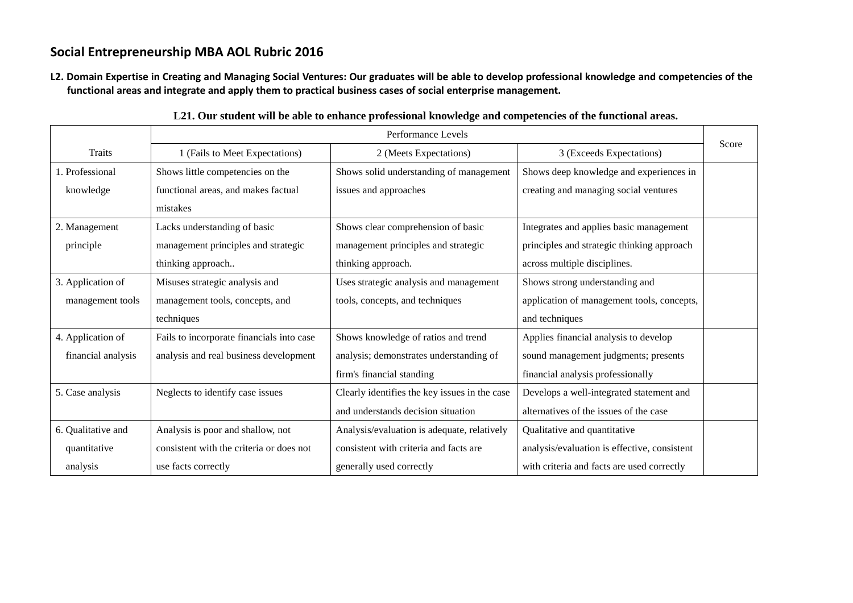**L2. Domain Expertise in Creating and Managing Social Ventures: Our graduates will be able to develop professional knowledge and competencies of the functional areas and integrate and apply them to practical business cases of social enterprise management.**

|                    | Performance Levels                        |                                               |                                              |       |
|--------------------|-------------------------------------------|-----------------------------------------------|----------------------------------------------|-------|
| Traits             | 1 (Fails to Meet Expectations)            | 2 (Meets Expectations)                        | 3 (Exceeds Expectations)                     | Score |
| 1. Professional    | Shows little competencies on the          | Shows solid understanding of management       | Shows deep knowledge and experiences in      |       |
| knowledge          | functional areas, and makes factual       | issues and approaches                         | creating and managing social ventures        |       |
|                    | mistakes                                  |                                               |                                              |       |
| 2. Management      | Lacks understanding of basic              | Shows clear comprehension of basic            | Integrates and applies basic management      |       |
| principle          | management principles and strategic       | management principles and strategic           | principles and strategic thinking approach   |       |
|                    | thinking approach                         | thinking approach.                            | across multiple disciplines.                 |       |
| 3. Application of  | Misuses strategic analysis and            | Uses strategic analysis and management        | Shows strong understanding and               |       |
| management tools   | management tools, concepts, and           | tools, concepts, and techniques               | application of management tools, concepts,   |       |
|                    | techniques                                |                                               | and techniques                               |       |
| 4. Application of  | Fails to incorporate financials into case | Shows knowledge of ratios and trend           | Applies financial analysis to develop        |       |
| financial analysis | analysis and real business development    | analysis; demonstrates understanding of       | sound management judgments; presents         |       |
|                    |                                           | firm's financial standing                     | financial analysis professionally            |       |
| 5. Case analysis   | Neglects to identify case issues          | Clearly identifies the key issues in the case | Develops a well-integrated statement and     |       |
|                    |                                           | and understands decision situation            | alternatives of the issues of the case       |       |
| 6. Qualitative and | Analysis is poor and shallow, not         | Analysis/evaluation is adequate, relatively   | Qualitative and quantitative                 |       |
| quantitative       | consistent with the criteria or does not  | consistent with criteria and facts are        | analysis/evaluation is effective, consistent |       |
| analysis           | use facts correctly                       | generally used correctly                      | with criteria and facts are used correctly   |       |

**L21. Our student will be able to enhance professional knowledge and competencies of the functional areas.**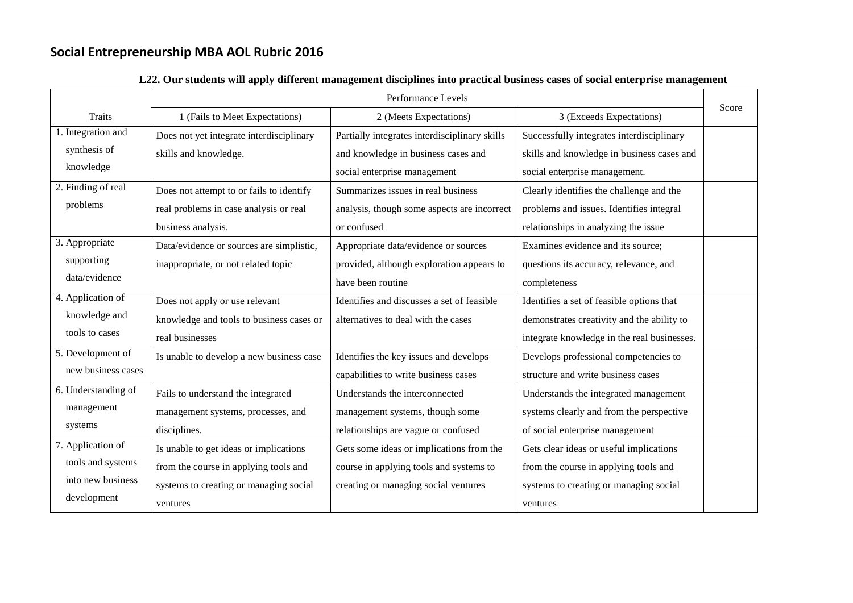|                     | Performance Levels                       |                                               |                                             |       |
|---------------------|------------------------------------------|-----------------------------------------------|---------------------------------------------|-------|
| <b>Traits</b>       | 1 (Fails to Meet Expectations)           | 2 (Meets Expectations)                        | 3 (Exceeds Expectations)                    | Score |
| 1. Integration and  | Does not yet integrate interdisciplinary | Partially integrates interdisciplinary skills | Successfully integrates interdisciplinary   |       |
| synthesis of        | skills and knowledge.                    | and knowledge in business cases and           | skills and knowledge in business cases and  |       |
| knowledge           |                                          | social enterprise management                  | social enterprise management.               |       |
| 2. Finding of real  | Does not attempt to or fails to identify | Summarizes issues in real business            | Clearly identifies the challenge and the    |       |
| problems            | real problems in case analysis or real   | analysis, though some aspects are incorrect   | problems and issues. Identifies integral    |       |
|                     | business analysis.                       | or confused                                   | relationships in analyzing the issue        |       |
| 3. Appropriate      | Data/evidence or sources are simplistic, | Appropriate data/evidence or sources          | Examines evidence and its source;           |       |
| supporting          | inappropriate, or not related topic      | provided, although exploration appears to     | questions its accuracy, relevance, and      |       |
| data/evidence       |                                          | have been routine                             | completeness                                |       |
| 4. Application of   | Does not apply or use relevant           | Identifies and discusses a set of feasible    | Identifies a set of feasible options that   |       |
| knowledge and       | knowledge and tools to business cases or | alternatives to deal with the cases           | demonstrates creativity and the ability to  |       |
| tools to cases      | real businesses                          |                                               | integrate knowledge in the real businesses. |       |
| 5. Development of   | Is unable to develop a new business case | Identifies the key issues and develops        | Develops professional competencies to       |       |
| new business cases  |                                          | capabilities to write business cases          | structure and write business cases          |       |
| 6. Understanding of | Fails to understand the integrated       | Understands the interconnected                | Understands the integrated management       |       |
| management          | management systems, processes, and       | management systems, though some               | systems clearly and from the perspective    |       |
| systems             | disciplines.                             | relationships are vague or confused           | of social enterprise management             |       |
| 7. Application of   | Is unable to get ideas or implications   | Gets some ideas or implications from the      | Gets clear ideas or useful implications     |       |
| tools and systems   | from the course in applying tools and    | course in applying tools and systems to       | from the course in applying tools and       |       |
| into new business   | systems to creating or managing social   | creating or managing social ventures          | systems to creating or managing social      |       |
| development         | ventures                                 |                                               | ventures                                    |       |

### **L22. Our students will apply different management disciplines into practical business cases of social enterprise management**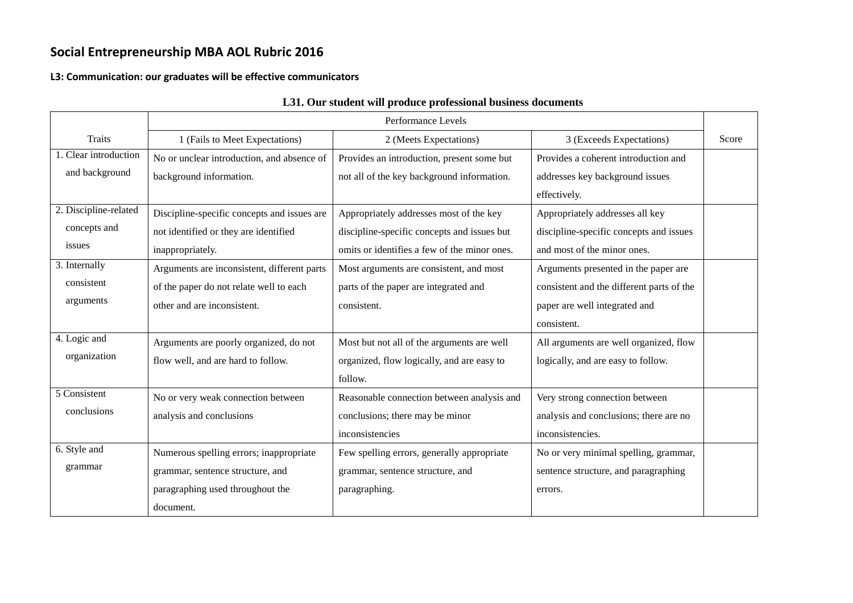#### **L3: Communication: our graduates will be effective communicators**

|                                         |                                             | Performance Levels                           |                                                 |       |
|-----------------------------------------|---------------------------------------------|----------------------------------------------|-------------------------------------------------|-------|
| <b>Traits</b>                           | 1 (Fails to Meet Expectations)              | 2 (Meets Expectations)                       | 3 (Exceeds Expectations)                        | Score |
| 1. Clear introduction<br>and background | No or unclear introduction, and absence of  | Provides an introduction, present some but   | Provides a coherent introduction and            |       |
|                                         | background information.                     | not all of the key background information.   | addresses key background issues<br>effectively. |       |
| 2. Discipline-related                   | Discipline-specific concepts and issues are | Appropriately addresses most of the key      | Appropriately addresses all key                 |       |
| concepts and                            | not identified or they are identified       | discipline-specific concepts and issues but  | discipline-specific concepts and issues         |       |
| issues                                  | inappropriately.                            | omits or identifies a few of the minor ones. | and most of the minor ones.                     |       |
| 3. Internally                           | Arguments are inconsistent, different parts | Most arguments are consistent, and most      | Arguments presented in the paper are            |       |
| consistent                              | of the paper do not relate well to each     | parts of the paper are integrated and        | consistent and the different parts of the       |       |
| arguments                               | other and are inconsistent.                 | consistent.                                  | paper are well integrated and                   |       |
|                                         |                                             |                                              | consistent.                                     |       |
| 4. Logic and                            | Arguments are poorly organized, do not      | Most but not all of the arguments are well   | All arguments are well organized, flow          |       |
| organization                            | flow well, and are hard to follow.          | organized, flow logically, and are easy to   | logically, and are easy to follow.              |       |
|                                         |                                             | follow.                                      |                                                 |       |
| 5 Consistent                            | No or very weak connection between          | Reasonable connection between analysis and   | Very strong connection between                  |       |
| conclusions                             | analysis and conclusions                    | conclusions; there may be minor              | analysis and conclusions; there are no          |       |
|                                         |                                             | inconsistencies                              | inconsistencies.                                |       |
| 6. Style and                            | Numerous spelling errors; inappropriate     | Few spelling errors, generally appropriate   | No or very minimal spelling, grammar,           |       |
| grammar                                 | grammar, sentence structure, and            | grammar, sentence structure, and             | sentence structure, and paragraphing            |       |
|                                         | paragraphing used throughout the            | paragraphing.                                | errors.                                         |       |
|                                         | document.                                   |                                              |                                                 |       |

#### **L31. Our student will produce professional business documents**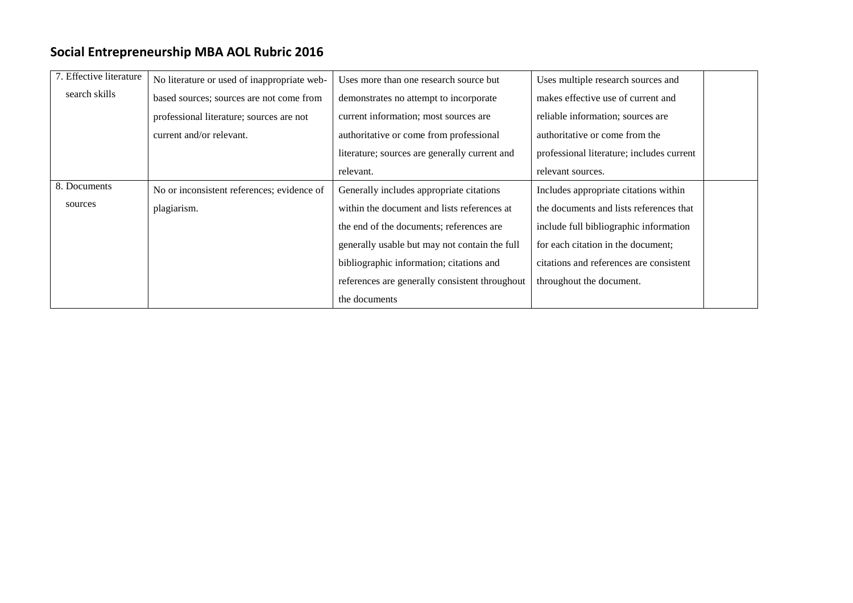| 7. Effective literature | No literature or used of inappropriate web- | Uses more than one research source but         | Uses multiple research sources and        |
|-------------------------|---------------------------------------------|------------------------------------------------|-------------------------------------------|
| search skills           | based sources; sources are not come from    | demonstrates no attempt to incorporate         | makes effective use of current and        |
|                         | professional literature; sources are not    | current information; most sources are          | reliable information; sources are         |
|                         | current and/or relevant.                    | authoritative or come from professional        | authoritative or come from the            |
|                         |                                             | literature; sources are generally current and  | professional literature; includes current |
|                         |                                             | relevant.                                      | relevant sources.                         |
| 8. Documents            | No or inconsistent references; evidence of  | Generally includes appropriate citations       | Includes appropriate citations within     |
| sources                 | plagiarism.                                 | within the document and lists references at    | the documents and lists references that   |
|                         |                                             | the end of the documents; references are       | include full bibliographic information    |
|                         |                                             | generally usable but may not contain the full  | for each citation in the document;        |
|                         |                                             | bibliographic information; citations and       | citations and references are consistent   |
|                         |                                             | references are generally consistent throughout | throughout the document.                  |
|                         |                                             | the documents                                  |                                           |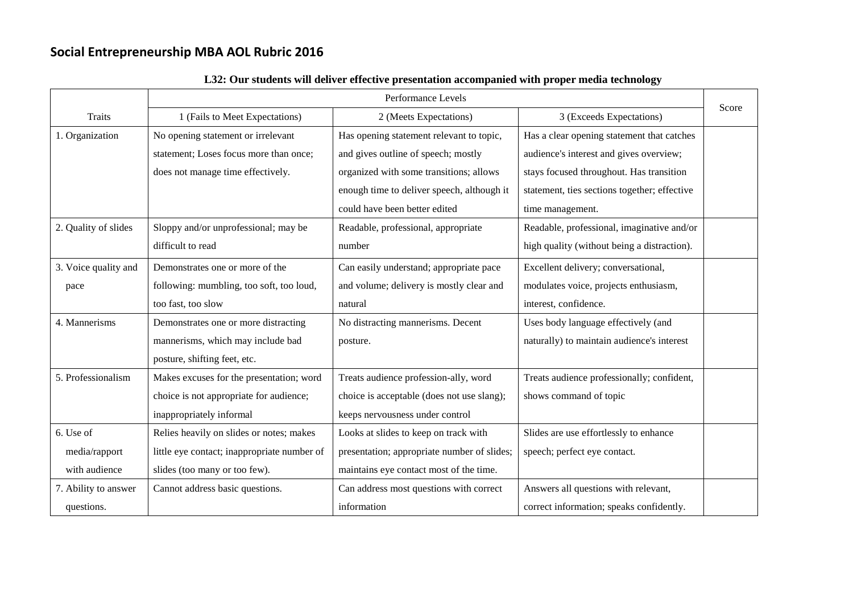|                      |                                             | Performance Levels                          |                                              |       |
|----------------------|---------------------------------------------|---------------------------------------------|----------------------------------------------|-------|
| <b>Traits</b>        | 1 (Fails to Meet Expectations)              | 2 (Meets Expectations)                      | 3 (Exceeds Expectations)                     | Score |
| 1. Organization      | No opening statement or irrelevant          | Has opening statement relevant to topic,    | Has a clear opening statement that catches   |       |
|                      | statement; Loses focus more than once;      | and gives outline of speech; mostly         | audience's interest and gives overview;      |       |
|                      | does not manage time effectively.           | organized with some transitions; allows     | stays focused throughout. Has transition     |       |
|                      |                                             | enough time to deliver speech, although it  | statement, ties sections together; effective |       |
|                      |                                             | could have been better edited               | time management.                             |       |
| 2. Quality of slides | Sloppy and/or unprofessional; may be        | Readable, professional, appropriate         | Readable, professional, imaginative and/or   |       |
|                      | difficult to read                           | number                                      | high quality (without being a distraction).  |       |
| 3. Voice quality and | Demonstrates one or more of the             | Can easily understand; appropriate pace     | Excellent delivery; conversational,          |       |
| pace                 | following: mumbling, too soft, too loud,    | and volume; delivery is mostly clear and    | modulates voice, projects enthusiasm,        |       |
|                      | too fast, too slow                          | natural                                     | interest, confidence.                        |       |
| 4. Mannerisms        | Demonstrates one or more distracting        | No distracting mannerisms. Decent           | Uses body language effectively (and          |       |
|                      | mannerisms, which may include bad           | posture.                                    | naturally) to maintain audience's interest   |       |
|                      | posture, shifting feet, etc.                |                                             |                                              |       |
| 5. Professionalism   | Makes excuses for the presentation; word    | Treats audience profession-ally, word       | Treats audience professionally; confident,   |       |
|                      | choice is not appropriate for audience;     | choice is acceptable (does not use slang);  | shows command of topic                       |       |
|                      | inappropriately informal                    | keeps nervousness under control             |                                              |       |
| 6. Use of            | Relies heavily on slides or notes; makes    | Looks at slides to keep on track with       | Slides are use effortlessly to enhance       |       |
| media/rapport        | little eye contact; inappropriate number of | presentation; appropriate number of slides; | speech; perfect eye contact.                 |       |
| with audience        | slides (too many or too few).               | maintains eye contact most of the time.     |                                              |       |
| 7. Ability to answer | Cannot address basic questions.             | Can address most questions with correct     | Answers all questions with relevant,         |       |
| questions.           |                                             | information                                 | correct information; speaks confidently.     |       |

### **L32: Our students will deliver effective presentation accompanied with proper media technology**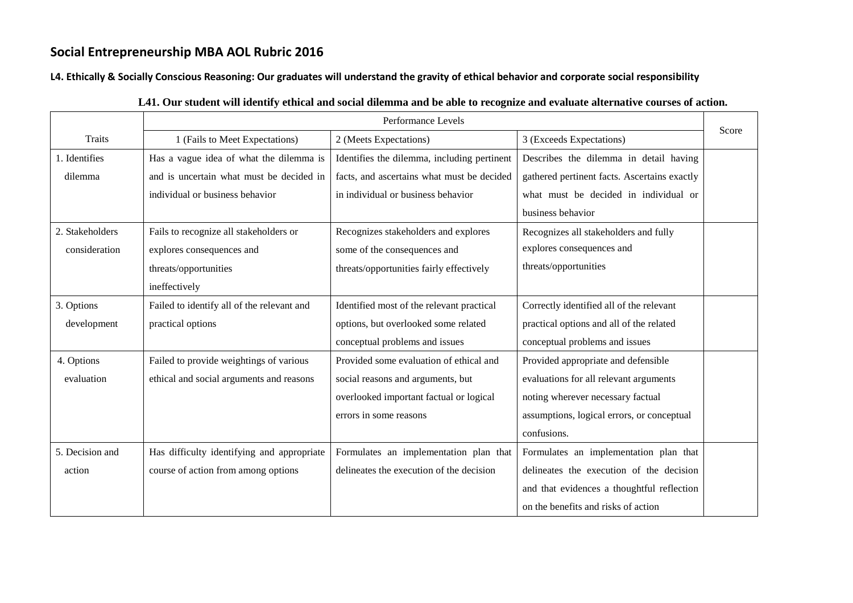#### **L4. Ethically & Socially Conscious Reasoning: Our graduates will understand the gravity of ethical behavior and corporate social responsibility**

|                 | Performance Levels                         |                                             |                                              |       |
|-----------------|--------------------------------------------|---------------------------------------------|----------------------------------------------|-------|
| <b>Traits</b>   | 1 (Fails to Meet Expectations)             | 2 (Meets Expectations)                      | 3 (Exceeds Expectations)                     | Score |
| 1. Identifies   | Has a vague idea of what the dilemma is    | Identifies the dilemma, including pertinent | Describes the dilemma in detail having       |       |
| dilemma         | and is uncertain what must be decided in   | facts, and ascertains what must be decided  | gathered pertinent facts. Ascertains exactly |       |
|                 | individual or business behavior            | in individual or business behavior          | what must be decided in individual or        |       |
|                 |                                            |                                             | business behavior                            |       |
| 2. Stakeholders | Fails to recognize all stakeholders or     | Recognizes stakeholders and explores        | Recognizes all stakeholders and fully        |       |
| consideration   | explores consequences and                  | some of the consequences and                | explores consequences and                    |       |
|                 | threats/opportunities                      | threats/opportunities fairly effectively    | threats/opportunities                        |       |
|                 | ineffectively                              |                                             |                                              |       |
| 3. Options      | Failed to identify all of the relevant and | Identified most of the relevant practical   | Correctly identified all of the relevant     |       |
| development     | practical options                          | options, but overlooked some related        | practical options and all of the related     |       |
|                 |                                            | conceptual problems and issues              | conceptual problems and issues               |       |
| 4. Options      | Failed to provide weightings of various    | Provided some evaluation of ethical and     | Provided appropriate and defensible          |       |
| evaluation      | ethical and social arguments and reasons   | social reasons and arguments, but           | evaluations for all relevant arguments       |       |
|                 |                                            | overlooked important factual or logical     | noting wherever necessary factual            |       |
|                 |                                            | errors in some reasons                      | assumptions, logical errors, or conceptual   |       |
|                 |                                            |                                             | confusions.                                  |       |
| 5. Decision and | Has difficulty identifying and appropriate | Formulates an implementation plan that      | Formulates an implementation plan that       |       |
| action          | course of action from among options        | delineates the execution of the decision    | delineates the execution of the decision     |       |
|                 |                                            |                                             | and that evidences a thoughtful reflection   |       |
|                 |                                            |                                             | on the benefits and risks of action          |       |

#### **L41. Our student will identify ethical and social dilemma and be able to recognize and evaluate alternative courses of action.**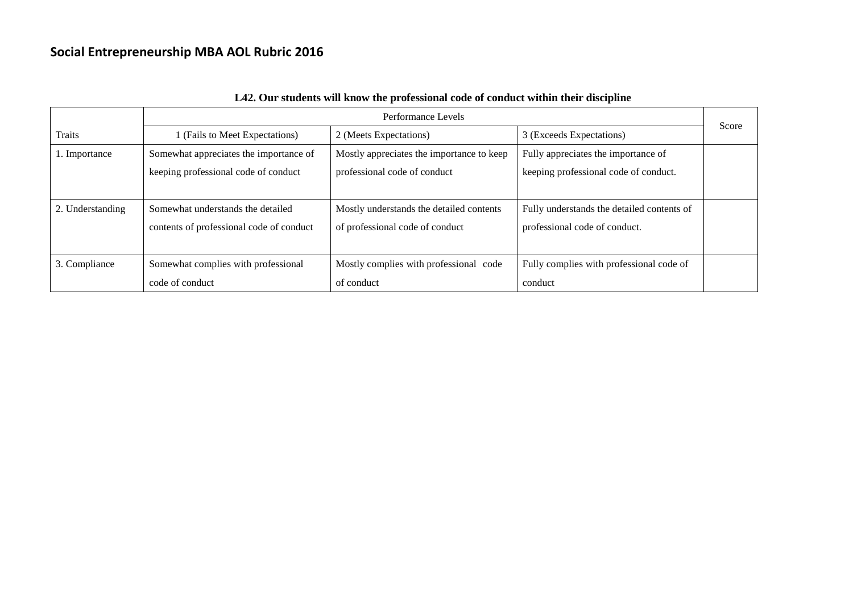|                  | Performance Levels                       |                                           |                                            |       |
|------------------|------------------------------------------|-------------------------------------------|--------------------------------------------|-------|
| <b>Traits</b>    | 1 (Fails to Meet Expectations)           | 2 (Meets Expectations)                    | 3 (Exceeds Expectations)                   | Score |
| 1. Importance    | Somewhat appreciates the importance of   | Mostly appreciates the importance to keep | Fully appreciates the importance of        |       |
|                  | keeping professional code of conduct     | professional code of conduct              | keeping professional code of conduct.      |       |
|                  |                                          |                                           |                                            |       |
| 2. Understanding | Somewhat understands the detailed        | Mostly understands the detailed contents  | Fully understands the detailed contents of |       |
|                  | contents of professional code of conduct | of professional code of conduct           | professional code of conduct.              |       |
|                  |                                          |                                           |                                            |       |
| 3. Compliance    | Somewhat complies with professional      | Mostly complies with professional code    | Fully complies with professional code of   |       |
|                  | code of conduct                          | of conduct                                | conduct                                    |       |

### **L42. Our students will know the professional code of conduct within their discipline**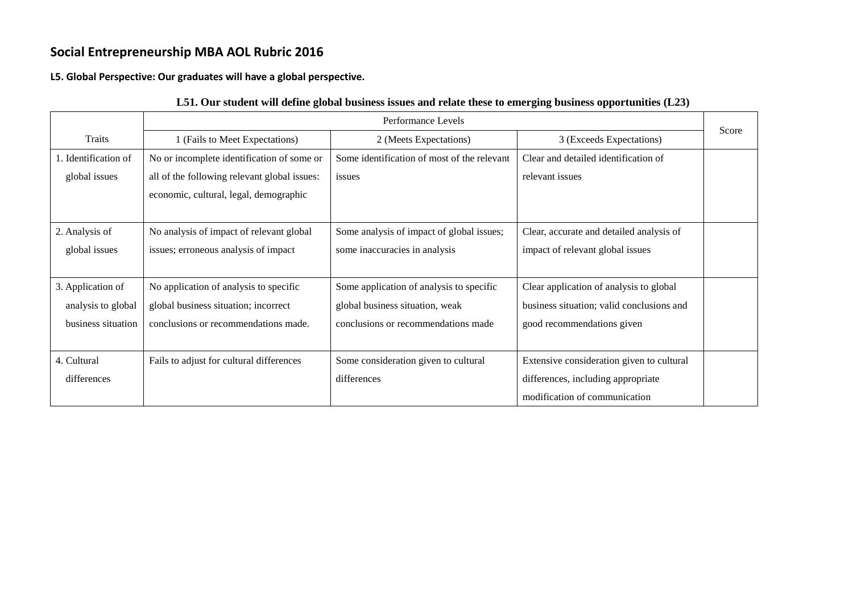**L5. Global Perspective: Our graduates will have a global perspective.**

|                      | Performance Levels                           |                                             |                                           |       |
|----------------------|----------------------------------------------|---------------------------------------------|-------------------------------------------|-------|
| <b>Traits</b>        | 1 (Fails to Meet Expectations)               | 2 (Meets Expectations)                      | 3 (Exceeds Expectations)                  | Score |
| 1. Identification of | No or incomplete identification of some or   | Some identification of most of the relevant | Clear and detailed identification of      |       |
| global issues        | all of the following relevant global issues: | issues                                      | relevant issues                           |       |
|                      | economic, cultural, legal, demographic       |                                             |                                           |       |
|                      |                                              |                                             |                                           |       |
| 2. Analysis of       | No analysis of impact of relevant global     | Some analysis of impact of global issues;   | Clear, accurate and detailed analysis of  |       |
| global issues        | issues; erroneous analysis of impact         | some inaccuracies in analysis               | impact of relevant global issues          |       |
|                      |                                              |                                             |                                           |       |
| 3. Application of    | No application of analysis to specific       | Some application of analysis to specific    | Clear application of analysis to global   |       |
| analysis to global   | global business situation; incorrect         | global business situation, weak             | business situation; valid conclusions and |       |
| business situation   | conclusions or recommendations made.         | conclusions or recommendations made         | good recommendations given                |       |
|                      |                                              |                                             |                                           |       |
| 4. Cultural          | Fails to adjust for cultural differences     | Some consideration given to cultural        | Extensive consideration given to cultural |       |
| differences          |                                              | differences                                 | differences, including appropriate        |       |
|                      |                                              |                                             | modification of communication             |       |

### **L51. Our student will define global business issues and relate these to emerging business opportunities (L23)**